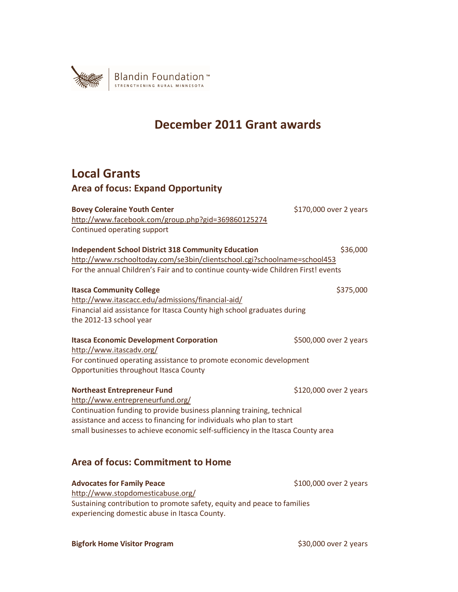

# **December 2011 Grant awards**

## **Local Grants**

## **Area of focus: Expand Opportunity**

| <b>Bovey Coleraine Youth Center</b>                                                                          | \$170,000 over 2 years |  |
|--------------------------------------------------------------------------------------------------------------|------------------------|--|
| http://www.facebook.com/group.php?gid=369860125274                                                           |                        |  |
| Continued operating support                                                                                  |                        |  |
| <b>Independent School District 318 Community Education</b>                                                   | \$36,000               |  |
| http://www.rschooltoday.com/se3bin/clientschool.cgi?schoolname=school453                                     |                        |  |
| For the annual Children's Fair and to continue county-wide Children First! events                            |                        |  |
| <b>Itasca Community College</b>                                                                              | \$375,000              |  |
| http://www.itascacc.edu/admissions/financial-aid/                                                            |                        |  |
| Financial aid assistance for Itasca County high school graduates during                                      |                        |  |
| the 2012-13 school year                                                                                      |                        |  |
|                                                                                                              |                        |  |
| <b>Itasca Economic Development Corporation</b>                                                               | \$500,000 over 2 years |  |
| http://www.itascadv.org/                                                                                     |                        |  |
| For continued operating assistance to promote economic development<br>Opportunities throughout Itasca County |                        |  |
|                                                                                                              |                        |  |
| <b>Northeast Entrepreneur Fund</b>                                                                           | \$120,000 over 2 years |  |
| http://www.entrepreneurfund.org/                                                                             |                        |  |
| Continuation funding to provide business planning training, technical                                        |                        |  |
| assistance and access to financing for individuals who plan to start                                         |                        |  |
| small businesses to achieve economic self-sufficiency in the Itasca County area                              |                        |  |
|                                                                                                              |                        |  |
| <b>Area of focus: Commitment to Home</b>                                                                     |                        |  |

Advocates for Family Peace and Equation 2 years (\$100,000 over 2 years) http://www.stopdomesticabuse.org/ Sustaining contribution to promote safety, equity and peace to families experiencing domestic abuse in Itasca County.

**Bigfork Home Visitor Program**  $$30,000$  over 2 years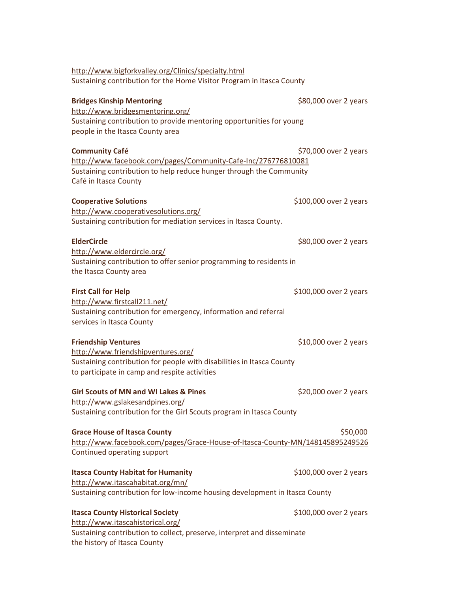| http://www.bigforkvalley.org/Clinics/specialty.html                           |                        |
|-------------------------------------------------------------------------------|------------------------|
| Sustaining contribution for the Home Visitor Program in Itasca County         |                        |
|                                                                               |                        |
| <b>Bridges Kinship Mentoring</b>                                              | \$80,000 over 2 years  |
| http://www.bridgesmentoring.org/                                              |                        |
| Sustaining contribution to provide mentoring opportunities for young          |                        |
| people in the Itasca County area                                              |                        |
| <b>Community Café</b>                                                         | \$70,000 over 2 years  |
| http://www.facebook.com/pages/Community-Cafe-Inc/276776810081                 |                        |
| Sustaining contribution to help reduce hunger through the Community           |                        |
| Café in Itasca County                                                         |                        |
| <b>Cooperative Solutions</b>                                                  | \$100,000 over 2 years |
| http://www.cooperativesolutions.org/                                          |                        |
| Sustaining contribution for mediation services in Itasca County.              |                        |
| <b>ElderCircle</b>                                                            | \$80,000 over 2 years  |
| http://www.eldercircle.org/                                                   |                        |
| Sustaining contribution to offer senior programming to residents in           |                        |
| the Itasca County area                                                        |                        |
|                                                                               |                        |
| <b>First Call for Help</b>                                                    | \$100,000 over 2 years |
| http://www.firstcall211.net/                                                  |                        |
| Sustaining contribution for emergency, information and referral               |                        |
| services in Itasca County                                                     |                        |
| <b>Friendship Ventures</b>                                                    | \$10,000 over 2 years  |
| http://www.friendshipventures.org/                                            |                        |
| Sustaining contribution for people with disabilities in Itasca County         |                        |
| to participate in camp and respite activities                                 |                        |
| <b>Girl Scouts of MN and WI Lakes &amp; Pines</b>                             | \$20,000 over 2 years  |
| http://www.gslakesandpines.org/                                               |                        |
| Sustaining contribution for the Girl Scouts program in Itasca County          |                        |
| <b>Grace House of Itasca County</b>                                           | \$50,000               |
| http://www.facebook.com/pages/Grace-House-of-Itasca-County-MN/148145895249526 |                        |
| Continued operating support                                                   |                        |
|                                                                               |                        |
| <b>Itasca County Habitat for Humanity</b>                                     | \$100,000 over 2 years |
| http://www.itascahabitat.org/mn/                                              |                        |
| Sustaining contribution for low-income housing development in Itasca County   |                        |
| <b>Itasca County Historical Society</b>                                       | \$100,000 over 2 years |
| http://www.itascahistorical.org/                                              |                        |
| Sustaining contribution to collect, preserve, interpret and disseminate       |                        |
| the history of Itasca County                                                  |                        |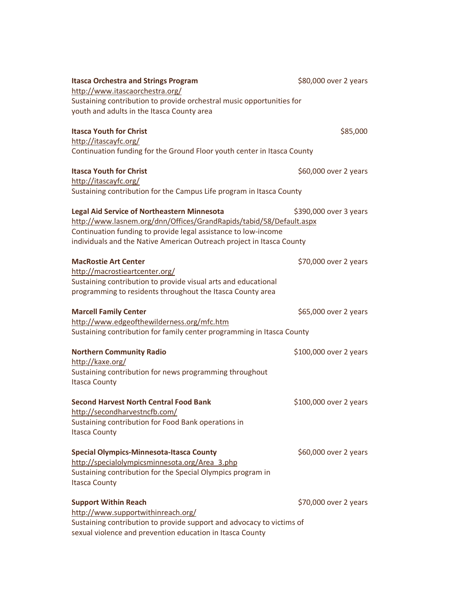| <b>Itasca Orchestra and Strings Program</b>                             | \$80,000 over 2 years  |
|-------------------------------------------------------------------------|------------------------|
| http://www.itascaorchestra.org/                                         |                        |
| Sustaining contribution to provide orchestral music opportunities for   |                        |
| youth and adults in the Itasca County area                              |                        |
| <b>Itasca Youth for Christ</b>                                          | \$85,000               |
| http://itascayfc.org/                                                   |                        |
| Continuation funding for the Ground Floor youth center in Itasca County |                        |
| <b>Itasca Youth for Christ</b>                                          | \$60,000 over 2 years  |
| http://itascayfc.org/                                                   |                        |
| Sustaining contribution for the Campus Life program in Itasca County    |                        |
| <b>Legal Aid Service of Northeastern Minnesota</b>                      | \$390,000 over 3 years |
| http://www.lasnem.org/dnn/Offices/GrandRapids/tabid/58/Default.aspx     |                        |
| Continuation funding to provide legal assistance to low-income          |                        |
| individuals and the Native American Outreach project in Itasca County   |                        |
| <b>MacRostie Art Center</b>                                             | \$70,000 over 2 years  |
| http://macrostieartcenter.org/                                          |                        |
| Sustaining contribution to provide visual arts and educational          |                        |
| programming to residents throughout the Itasca County area              |                        |
| <b>Marcell Family Center</b>                                            | \$65,000 over 2 years  |
| http://www.edgeofthewilderness.org/mfc.htm                              |                        |
| Sustaining contribution for family center programming in Itasca County  |                        |
| <b>Northern Community Radio</b>                                         | \$100,000 over 2 years |
| http://kaxe.org/                                                        |                        |
| Sustaining contribution for news programming throughout                 |                        |
| <b>Itasca County</b>                                                    |                        |
| <b>Second Harvest North Central Food Bank</b>                           | \$100,000 over 2 years |
| http://secondharvestncfb.com/                                           |                        |
| Sustaining contribution for Food Bank operations in                     |                        |
| <b>Itasca County</b>                                                    |                        |
| <b>Special Olympics-Minnesota-Itasca County</b>                         | \$60,000 over 2 years  |
| http://specialolympicsminnesota.org/Area 3.php                          |                        |
| Sustaining contribution for the Special Olympics program in             |                        |
| <b>Itasca County</b>                                                    |                        |
| <b>Support Within Reach</b>                                             | \$70,000 over 2 years  |
| http://www.supportwithinreach.org/                                      |                        |
| Sustaining contribution to provide support and advocacy to victims of   |                        |
| sexual violence and prevention education in Itasca County               |                        |
|                                                                         |                        |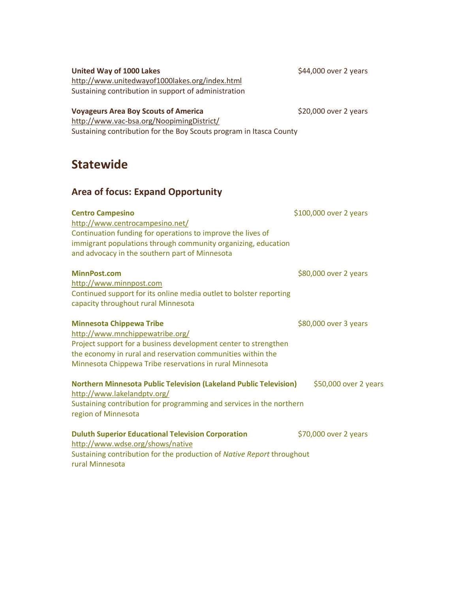| Jlalcwiuc                                                                                                                                                                                                                                                        |                        |
|------------------------------------------------------------------------------------------------------------------------------------------------------------------------------------------------------------------------------------------------------------------|------------------------|
| <b>Area of focus: Expand Opportunity</b>                                                                                                                                                                                                                         |                        |
| <b>Centro Campesino</b><br>http://www.centrocampesino.net/<br>Continuation funding for operations to improve the lives of<br>immigrant populations through community organizing, education<br>and advocacy in the southern part of Minnesota                     | \$100,000 over 2 years |
| <b>MinnPost.com</b><br>http://www.minnpost.com<br>Continued support for its online media outlet to bolster reporting<br>capacity throughout rural Minnesota                                                                                                      | \$80,000 over 2 years  |
| <b>Minnesota Chippewa Tribe</b><br>http://www.mnchippewatribe.org/<br>Project support for a business development center to strengthen<br>the economy in rural and reservation communities within the<br>Minnesota Chippewa Tribe reservations in rural Minnesota | \$80,000 over 3 years  |
| <b>Northern Minnesota Public Television (Lakeland Public Television)</b><br>http://www.lakelandptv.org/<br>Sustaining contribution for programming and services in the northern<br>region of Minnesota                                                           | \$50,000 over 2 years  |
| <b>Duluth Superior Educational Television Corporation</b><br>http://www.wdse.org/shows/native                                                                                                                                                                    | \$70,000 over 2 years  |

http://www.unitedwayof1000lakes.org/index.html Sustaining contribution in support of administration

### **Voyageurs Area Boy Scouts of America XVIII Arrow SALL Strategies Arrow S20,000 over 2 years**

http://www.vac-bsa.org/NoopimingDistrict/ Sustaining contribution for the Boy Scouts program in Itasca County

# **Statewide**

United Way of 1000 Lakes **Exercise 2 years** \$44,000 over 2 years

rural Minnesota

Sustaining contribution for the production of *Native Report* throughout